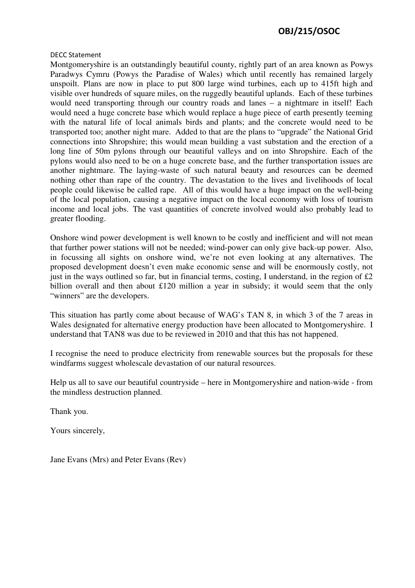## OBJ/215/OSOC

## DECC Statement

Montgomeryshire is an outstandingly beautiful county, rightly part of an area known as Powys Paradwys Cymru (Powys the Paradise of Wales) which until recently has remained largely unspoilt. Plans are now in place to put 800 large wind turbines, each up to 415ft high and visible over hundreds of square miles, on the ruggedly beautiful uplands. Each of these turbines would need transporting through our country roads and lanes – a nightmare in itself! Each would need a huge concrete base which would replace a huge piece of earth presently teeming with the natural life of local animals birds and plants; and the concrete would need to be transported too; another night mare. Added to that are the plans to "upgrade" the National Grid connections into Shropshire; this would mean building a vast substation and the erection of a long line of 50m pylons through our beautiful valleys and on into Shropshire. Each of the pylons would also need to be on a huge concrete base, and the further transportation issues are another nightmare. The laying-waste of such natural beauty and resources can be deemed nothing other than rape of the country. The devastation to the lives and livelihoods of local people could likewise be called rape. All of this would have a huge impact on the well-being of the local population, causing a negative impact on the local economy with loss of tourism income and local jobs. The vast quantities of concrete involved would also probably lead to greater flooding.

Onshore wind power development is well known to be costly and inefficient and will not mean that further power stations will not be needed; wind-power can only give back-up power. Also, in focussing all sights on onshore wind, we're not even looking at any alternatives. The proposed development doesn't even make economic sense and will be enormously costly, not just in the ways outlined so far, but in financial terms, costing, I understand, in the region of  $\pounds 2$ billion overall and then about £120 million a year in subsidy; it would seem that the only "winners" are the developers.

This situation has partly come about because of WAG's TAN 8, in which 3 of the 7 areas in Wales designated for alternative energy production have been allocated to Montgomeryshire. I understand that TAN8 was due to be reviewed in 2010 and that this has not happened.

I recognise the need to produce electricity from renewable sources but the proposals for these windfarms suggest wholescale devastation of our natural resources.

Help us all to save our beautiful countryside – here in Montgomeryshire and nation-wide - from the mindless destruction planned.

Thank you.

Yours sincerely,

Jane Evans (Mrs) and Peter Evans (Rev)